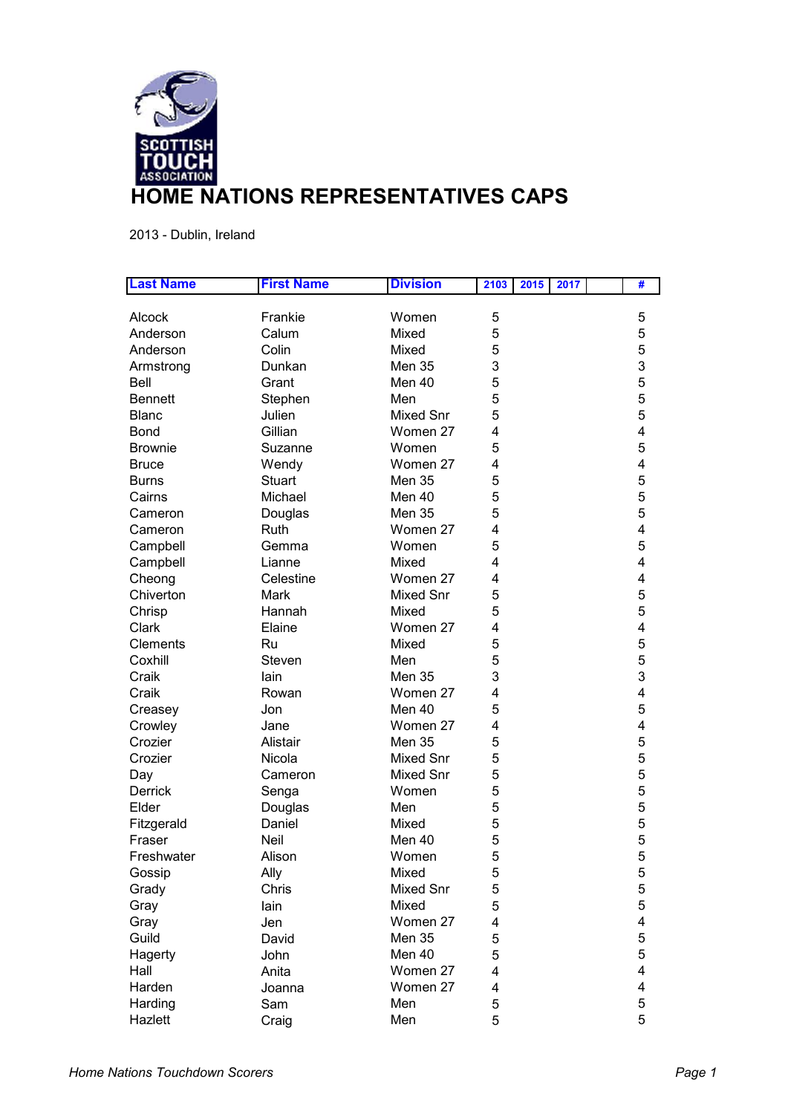

2013 - Dublin, Ireland

| <b>Last Name</b> | <b>First Name</b> | <b>Division</b>  | 2103 | 2015 | 2017 | # |
|------------------|-------------------|------------------|------|------|------|---|
|                  |                   |                  |      |      |      |   |
| Alcock           | Frankie           | Women            | 5    |      |      | 5 |
| Anderson         | Calum             | Mixed            | 5    |      |      | 5 |
| Anderson         | Colin             | Mixed            | 5    |      |      | 5 |
| Armstrong        | Dunkan            | <b>Men 35</b>    | 3    |      |      | 3 |
| Bell             | Grant             | Men 40           | 5    |      |      | 5 |
| <b>Bennett</b>   | Stephen           | Men              | 5    |      |      | 5 |
| <b>Blanc</b>     | Julien            | <b>Mixed Snr</b> | 5    |      |      | 5 |
| <b>Bond</b>      | Gillian           | Women 27         | 4    |      |      | 4 |
| <b>Brownie</b>   | Suzanne           | Women            | 5    |      |      | 5 |
| <b>Bruce</b>     | Wendy             | Women 27         | 4    |      |      | 4 |
| <b>Burns</b>     | <b>Stuart</b>     | Men 35           | 5    |      |      | 5 |
| Cairns           | Michael           | Men 40           | 5    |      |      | 5 |
| Cameron          | Douglas           | Men 35           | 5    |      |      | 5 |
| Cameron          | Ruth              | Women 27         | 4    |      |      | 4 |
| Campbell         | Gemma             | Women            | 5    |      |      | 5 |
| Campbell         | Lianne            | Mixed            | 4    |      |      | 4 |
| Cheong           | Celestine         | Women 27         | 4    |      |      | 4 |
| Chiverton        | Mark              | <b>Mixed Snr</b> | 5    |      |      | 5 |
| Chrisp           | Hannah            | Mixed            | 5    |      |      | 5 |
| Clark            | Elaine            | Women 27         | 4    |      |      | 4 |
| Clements         | Ru                | Mixed            | 5    |      |      | 5 |
| Coxhill          | Steven            | Men              | 5    |      |      | 5 |
| Craik            | lain              | <b>Men 35</b>    | 3    |      |      | 3 |
| Craik            | Rowan             | Women 27         | 4    |      |      | 4 |
| Creasey          | Jon               | Men 40           | 5    |      |      | 5 |
| Crowley          | Jane              | Women 27         | 4    |      |      | 4 |
| Crozier          | Alistair          | Men 35           | 5    |      |      | 5 |
| Crozier          | Nicola            | <b>Mixed Snr</b> | 5    |      |      | 5 |
| Day              | Cameron           | <b>Mixed Snr</b> | 5    |      |      | 5 |
| Derrick          | Senga             | Women            | 5    |      |      | 5 |
| Elder            | Douglas           | Men              | 5    |      |      | 5 |
| Fitzgerald       | Daniel            | Mixed            | 5    |      |      | 5 |
| Fraser           | <b>Neil</b>       | Men 40           | 5    |      |      | 5 |
| Freshwater       | Alison            | Women            | 5    |      |      | 5 |
| Gossip           | Ally              | Mixed            | 5    |      |      | 5 |
| Grady            | Chris             | <b>Mixed Snr</b> | 5    |      |      | 5 |
|                  |                   | Mixed            | 5    |      |      | 5 |
| Gray             | lain              |                  |      |      |      | 4 |
| Gray             | Jen               | Women 27         | 4    |      |      |   |
| Guild            | David             | <b>Men 35</b>    | 5    |      |      | 5 |
| Hagerty          | John              | Men 40           | 5    |      |      | 5 |
| Hall             | Anita             | Women 27         | 4    |      |      | 4 |
| Harden           | Joanna            | Women 27         | 4    |      |      | 4 |
| Harding          | Sam               | Men              | 5    |      |      | 5 |
| Hazlett          | Craig             | Men              | 5    |      |      | 5 |